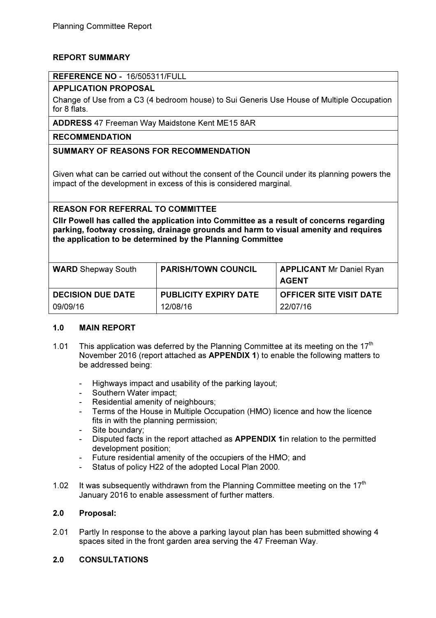# REPORT SUMMARY

## REFERENCE NO - 16/505311/FULL

#### APPLICATION PROPOSAL

Change of Use from a C3 (4 bedroom house) to Sui Generis Use House of Multiple Occupation for 8 flats.

#### ADDRESS 47 Freeman Way Maidstone Kent ME15 8AR

#### RECOMMENDATION

# SUMMARY OF REASONS FOR RECOMMENDATION

Given what can be carried out without the consent of the Council under its planning powers the impact of the development in excess of this is considered marginal.

## REASON FOR REFERRAL TO COMMITTEE

Cllr Powell has called the application into Committee as a result of concerns regarding parking, footway crossing, drainage grounds and harm to visual amenity and requires the application to be determined by the Planning Committee

| <b>WARD</b> Shepway South | <b>PARISH/TOWN COUNCIL</b>   | <b>APPLICANT Mr Daniel Ryan</b><br>AGENT |
|---------------------------|------------------------------|------------------------------------------|
| <b>DECISION DUE DATE</b>  | <b>PUBLICITY EXPIRY DATE</b> | <b>OFFICER SITE VISIT DATE</b>           |
| 09/09/16                  | 12/08/16                     | 22/07/16                                 |

#### 1.0 MAIN REPORT

- 1.01 This application was deferred by the Planning Committee at its meeting on the  $17<sup>th</sup>$ November 2016 (report attached as APPENDIX 1) to enable the following matters to be addressed being:
	- Highways impact and usability of the parking layout;
	- Southern Water impact;
	- Residential amenity of neighbours;
	- Terms of the House in Multiple Occupation (HMO) licence and how the licence fits in with the planning permission;
	- Site boundary;
	- Disputed facts in the report attached as APPENDIX 1in relation to the permitted development position;
	- Future residential amenity of the occupiers of the HMO; and
	- Status of policy H22 of the adopted Local Plan 2000.
- 1.02 It was subsequently withdrawn from the Planning Committee meeting on the  $17<sup>th</sup>$ January 2016 to enable assessment of further matters.

#### 2.0 Proposal:

2.01 Partly In response to the above a parking layout plan has been submitted showing 4 spaces sited in the front garden area serving the 47 Freeman Way.

#### 2.0 CONSULTATIONS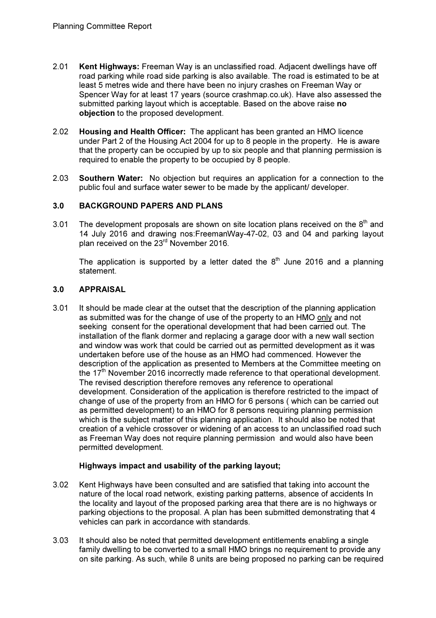- 2.01 Kent Highways: Freeman Way is an unclassified road. Adjacent dwellings have off road parking while road side parking is also available. The road is estimated to be at least 5 metres wide and there have been no injury crashes on Freeman Way or Spencer Way for at least 17 years (source crashmap.co.uk). Have also assessed the submitted parking layout which is acceptable. Based on the above raise no objection to the proposed development.
- 2.02 Housing and Health Officer: The applicant has been granted an HMO licence under Part 2 of the Housing Act 2004 for up to 8 people in the property. He is aware that the property can be occupied by up to six people and that planning permission is required to enable the property to be occupied by 8 people.
- 2.03 Southern Water: No objection but requires an application for a connection to the public foul and surface water sewer to be made by the applicant/ developer.

# 3.0 BACKGROUND PAPERS AND PLANS

3.01 The development proposals are shown on site location plans received on the  $8<sup>th</sup>$  and 14 July 2016 and drawing nos:FreemanWay-47-02, 03 and 04 and parking layout plan received on the 23rd November 2016.

The application is supported by a letter dated the  $8<sup>th</sup>$  June 2016 and a planning statement.

# 3.0 APPRAISAL

3.01 It should be made clear at the outset that the description of the planning application as submitted was for the change of use of the property to an HMO only and not seeking consent for the operational development that had been carried out. The installation of the flank dormer and replacing a garage door with a new wall section and window was work that could be carried out as permitted development as it was undertaken before use of the house as an HMO had commenced. However the description of the application as presented to Members at the Committee meeting on the 17<sup>th</sup> November 2016 incorrectly made reference to that operational development. The revised description therefore removes any reference to operational development. Consideration of the application is therefore restricted to the impact of change of use of the property from an HMO for 6 persons ( which can be carried out as permitted development) to an HMO for 8 persons requiring planning permission which is the subject matter of this planning application. It should also be noted that creation of a vehicle crossover or widening of an access to an unclassified road such as Freeman Way does not require planning permission and would also have been permitted development.

## Highways impact and usability of the parking layout;

- 3.02 Kent Highways have been consulted and are satisfied that taking into account the nature of the local road network, existing parking patterns, absence of accidents In the locality and layout of the proposed parking area that there are is no highways or parking objections to the proposal. A plan has been submitted demonstrating that 4 vehicles can park in accordance with standards.
- 3.03 It should also be noted that permitted development entitlements enabling a single family dwelling to be converted to a small HMO brings no requirement to provide any on site parking. As such, while 8 units are being proposed no parking can be required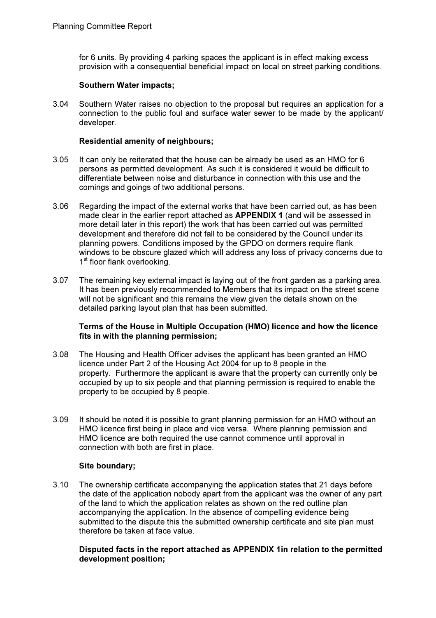for 6 units. By providing 4 parking spaces the applicant is in effect making excess provision with a consequential beneficial impact on local on street parking conditions.

#### Southern Water impacts;

3.04 Southern Water raises no objection to the proposal but requires an application for a connection to the public foul and surface water sewer to be made by the applicant/ developer.

## Residential amenity of neighbours;

- 3.05 It can only be reiterated that the house can be already be used as an HMO for 6 persons as permitted development. As such it is considered it would be difficult to differentiate between noise and disturbance in connection with this use and the comings and goings of two additional persons.
- 3.06 Regarding the impact of the external works that have been carried out, as has been made clear in the earlier report attached as APPENDIX 1 (and will be assessed in more detail later in this report) the work that has been carried out was permitted development and therefore did not fall to be considered by the Council under its planning powers. Conditions imposed by the GPDO on dormers require flank windows to be obscure glazed which will address any loss of privacy concerns due to 1<sup>st</sup> floor flank overlooking.
- 3.07 The remaining key external impact is laying out of the front garden as a parking area. It has been previously recommended to Members that its impact on the street scene will not be significant and this remains the view given the details shown on the detailed parking layout plan that has been submitted.

## Terms of the House in Multiple Occupation (HMO) licence and how the licence fits in with the planning permission;

- 3.08 The Housing and Health Officer advises the applicant has been granted an HMO licence under Part 2 of the Housing Act 2004 for up to 8 people in the property. Furthermore the applicant is aware that the property can currently only be occupied by up to six people and that planning permission is required to enable the property to be occupied by 8 people.
- 3.09 It should be noted it is possible to grant planning permission for an HMO without an HMO licence first being in place and vice versa. Where planning permission and HMO licence are both required the use cannot commence until approval in connection with both are first in place.

## Site boundary;

3.10 The ownership certificate accompanying the application states that 21 days before the date of the application nobody apart from the applicant was the owner of any part of the land to which the application relates as shown on the red outline plan accompanying the application. In the absence of compelling evidence being submitted to the dispute this the submitted ownership certificate and site plan must therefore be taken at face value.

#### Disputed facts in the report attached as APPENDIX 1in relation to the permitted development position;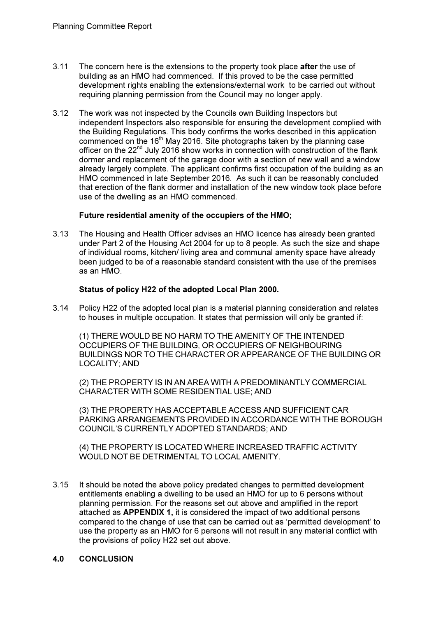- 3.11 The concern here is the extensions to the property took place after the use of building as an HMO had commenced. If this proved to be the case permitted development rights enabling the extensions/external work to be carried out without requiring planning permission from the Council may no longer apply.
- 3.12 The work was not inspected by the Councils own Building Inspectors but independent Inspectors also responsible for ensuring the development complied with the Building Regulations. This body confirms the works described in this application commenced on the 16<sup>th</sup> May 2016. Site photographs taken by the planning case officer on the 22<sup>nd</sup> July 2016 show works in connection with construction of the flank dormer and replacement of the garage door with a section of new wall and a window already largely complete. The applicant confirms first occupation of the building as an HMO commenced in late September 2016. As such it can be reasonably concluded that erection of the flank dormer and installation of the new window took place before use of the dwelling as an HMO commenced.

# Future residential amenity of the occupiers of the HMO;

3.13 The Housing and Health Officer advises an HMO licence has already been granted under Part 2 of the Housing Act 2004 for up to 8 people. As such the size and shape of individual rooms, kitchen/ living area and communal amenity space have already been judged to be of a reasonable standard consistent with the use of the premises as an HMO.

## Status of policy H22 of the adopted Local Plan 2000.

3.14 Policy H22 of the adopted local plan is a material planning consideration and relates to houses in multiple occupation. It states that permission will only be granted if:

(1) THERE WOULD BE NO HARM TO THE AMENITY OF THE INTENDED OCCUPIERS OF THE BUILDING, OR OCCUPIERS OF NEIGHBOURING BUILDINGS NOR TO THE CHARACTER OR APPEARANCE OF THE BUILDING OR LOCALITY; AND

(2) THE PROPERTY IS IN AN AREA WITH A PREDOMINANTLY COMMERCIAL CHARACTER WITH SOME RESIDENTIAL USE; AND

(3) THE PROPERTY HAS ACCEPTABLE ACCESS AND SUFFICIENT CAR PARKING ARRANGEMENTS PROVIDED IN ACCORDANCE WITH THE BOROUGH COUNCIL'S CURRENTLY ADOPTED STANDARDS; AND

(4) THE PROPERTY IS LOCATED WHERE INCREASED TRAFFIC ACTIVITY WOULD NOT BE DETRIMENTAL TO LOCAL AMENITY.

3.15 It should be noted the above policy predated changes to permitted development entitlements enabling a dwelling to be used an HMO for up to 6 persons without planning permission. For the reasons set out above and amplified in the report attached as APPENDIX 1, it is considered the impact of two additional persons compared to the change of use that can be carried out as 'permitted development' to use the property as an HMO for 6 persons will not result in any material conflict with the provisions of policy H22 set out above.

## 4.0 CONCLUSION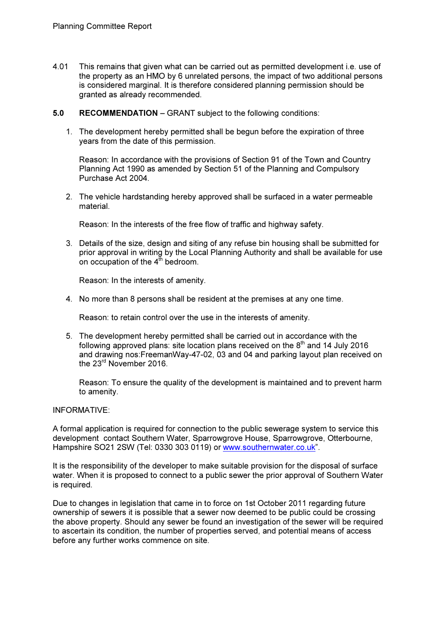- 4.01 This remains that given what can be carried out as permitted development i.e. use of the property as an HMO by 6 unrelated persons, the impact of two additional persons is considered marginal. It is therefore considered planning permission should be granted as already recommended.
- 5.0 RECOMMENDATION GRANT subject to the following conditions:
	- 1. The development hereby permitted shall be begun before the expiration of three years from the date of this permission.

Reason: In accordance with the provisions of Section 91 of the Town and Country Planning Act 1990 as amended by Section 51 of the Planning and Compulsory Purchase Act 2004.

2. The vehicle hardstanding hereby approved shall be surfaced in a water permeable material.

Reason: In the interests of the free flow of traffic and highway safety.

3. Details of the size, design and siting of any refuse bin housing shall be submitted for prior approval in writing by the Local Planning Authority and shall be available for use on occupation of the  $4^{\text{th}}$  bedroom.

Reason: In the interests of amenity.

4. No more than 8 persons shall be resident at the premises at any one time.

Reason: to retain control over the use in the interests of amenity.

5. The development hereby permitted shall be carried out in accordance with the following approved plans: site location plans received on the  $8<sup>th</sup>$  and 14 July 2016 and drawing nos:FreemanWay-47-02, 03 and 04 and parking layout plan received on the 23<sup>rd</sup> November 2016.

Reason: To ensure the quality of the development is maintained and to prevent harm to amenity.

#### INFORMATIVE:

A formal application is required for connection to the public sewerage system to service this development contact Southern Water, Sparrowgrove House, Sparrowgrove, Otterbourne, Hampshire SO21 2SW (Tel: 0330 303 0119) or www.southernwater.co.uk".

It is the responsibility of the developer to make suitable provision for the disposal of surface water. When it is proposed to connect to a public sewer the prior approval of Southern Water is required.

Due to changes in legislation that came in to force on 1st October 2011 regarding future ownership of sewers it is possible that a sewer now deemed to be public could be crossing the above property. Should any sewer be found an investigation of the sewer will be required to ascertain its condition, the number of properties served, and potential means of access before any further works commence on site.